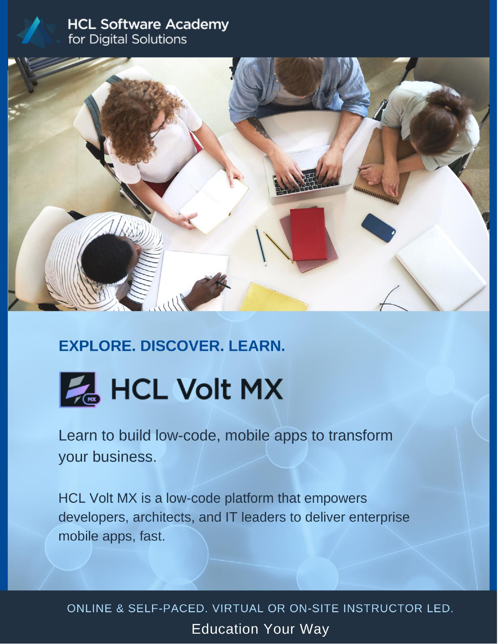### **HCL Software Academy** for Digital Solutions



# **EXPLORE, DISCOVER, LEARN.**



Learn to build low-code, mobile apps to transform your business.

HCL Volt MX is a low-code platform that empowers developers, architects, and IT leaders to deliver enterprise mobile apps, fast.

ONLINE & SELF-PACED. VIRTUAL OR ON-SITE INSTRUCTOR LED. **Education Your Way**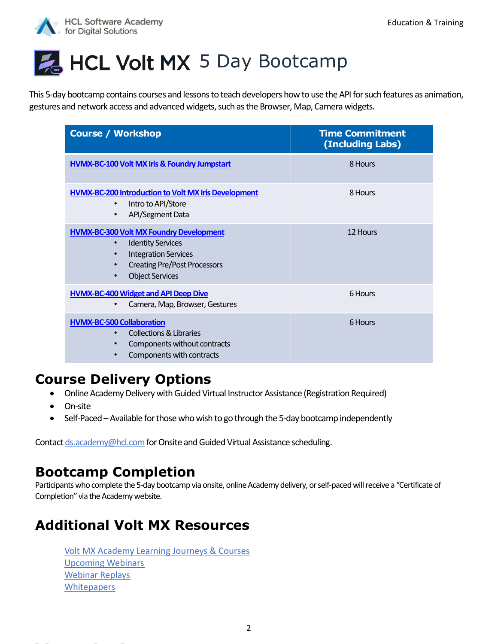

# HCL Volt MX 5 Day Bootcamp

This 5-day bootcamp contains courses and lessons to teach developers how to use the API for such features as animation, gestures and network access and advanced widgets, such as the Browser, Map, Camera widgets.

| <b>Course / Workshop</b>                                                                                                                                                                                                       | <b>Time Commitment</b><br>(Including Labs) |
|--------------------------------------------------------------------------------------------------------------------------------------------------------------------------------------------------------------------------------|--------------------------------------------|
| HVMX-BC-100 Volt MX Iris & Foundry Jumpstart                                                                                                                                                                                   | 8 Hours                                    |
| <b>HVMX-BC-200 Introduction to Volt MX Iris Development</b><br>Intro to API/Store<br>$\bullet$<br>API/Segment Data<br>$\bullet$                                                                                                | 8 Hours                                    |
| <b>HVMX-BC-300 Volt MX Foundry Development</b><br><b>Identity Services</b><br>$\bullet$<br><b>Integration Services</b><br>$\bullet$<br><b>Creating Pre/Post Processors</b><br>$\bullet$<br><b>Object Services</b><br>$\bullet$ | 12 Hours                                   |
| <b>HVMX-BC-400 Widget and API Deep Dive</b><br>Camera, Map, Browser, Gestures<br>$\bullet$                                                                                                                                     | 6 Hours                                    |
| <b>HVMX-BC-500 Collaboration</b><br><b>Collections &amp; Libraries</b><br>$\bullet$<br>Components without contracts<br>$\bullet$<br>Components with contracts<br>$\bullet$                                                     | 6 Hours                                    |

### **Course Delivery Options**

- Online Academy Delivery with Guided Virtual Instructor Assistance (Registration Required)
- On-site
- Self-Paced Available for those who wish to go through the 5-day bootcamp independently

Contac[t ds.academy@hcl.com](mailto:ds.academy@hcl.com) for Onsite and Guided Virtual Assistance scheduling.

### **Bootcamp Completion**

Participants who complete the 5-day bootcamp via onsite, online Academy delivery, or self-paced will receive a "Certificate of Completion" via the Academy website.

# **Additional Volt MX Resources**

[Volt MX Academy Learning Journeys & Courses](https://academy.hcltechsw.com/#VoltMxLearningJourneys)  [Upcoming Webinars](https://academy.hcltechsw.com/events-cal?search=eyJjYXQiOiIzIiwidGl0bGUiOiIifQ) [Webinar Replays](https://academy.hcltechsw.com/media-library?filter=eyJjYXRlZ29yeSI6OSwic3ViY2F0ZWdvcnkiOjE4LCJ0eXBlIjoiMCIsInNlYXJjaCI6IiIsImxhbmd1YWdlIjoiZW4tR0IiLCJzaXplIjo0MCwic3RhcnQiOjB9) **[Whitepapers](https://academy.hcltechsw.com/ds-academy-whitepapers)**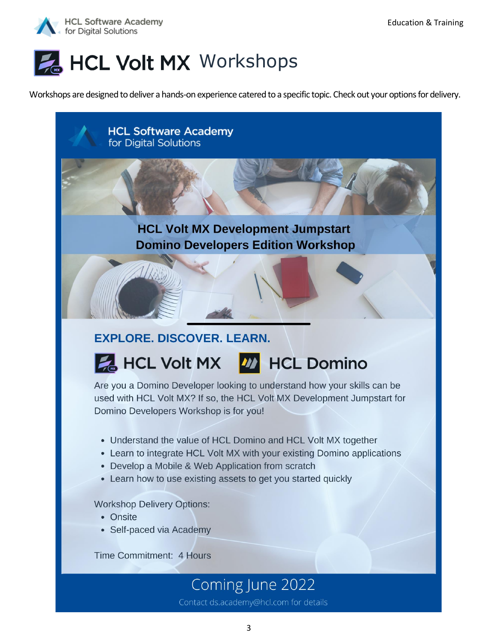



Workshops are designed to deliver a hands-on experience catered to a specific topic. Check out your options for delivery.



### **EXPLORE. DISCOVER. LEARN.**

# **EXTREMEL Volt MX 422 HCL Domino**

Are you a Domino Developer looking to understand how your skills can be used with HCL Volt MX? If so, the HCL Volt MX Development Jumpstart for Domino Developers Workshop is for you!

- Understand the value of HCL Domino and HCL Volt MX together
- Learn to integrate HCL Volt MX with your existing Domino applications
- Develop a Mobile & Web Application from scratch
- Learn how to use existing assets to get you started quickly

**Workshop Delivery Options:** 

- Onsite
- Self-paced via Academy

Time Commitment: 4 Hours

# Coming June 2022

Contact ds.academy@hcl.com for details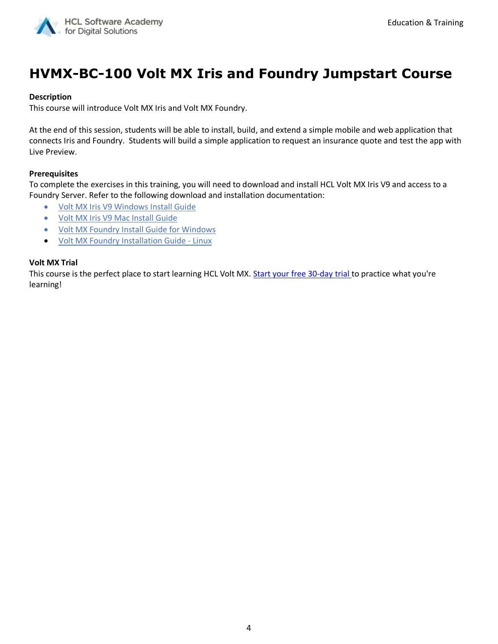

# **HVMX-BC-100 Volt MX Iris and Foundry Jumpstart Course**

#### **Description**

This course will introduce Volt MX Iris and Volt MX Foundry.

At the end of this session, students will be able to install, build, and extend a simple mobile and web application that connects Iris and Foundry. Students will build a simple application to request an insurance quote and test the app with Live Preview.

#### **Prerequisites**

To complete the exercises in this training, you will need to download and install HCL Volt MX Iris V9 and access to a Foundry Server. Refer to the following download and installation documentation:

- [Volt MX Iris V9 Windows Install Guide](https://opensource.hcltechsw.com/volt-mx-docs/docs/documentation/Iris/iris_starter_install_win/Content/Prerequisites.html)
- [Volt MX Iris V9 Mac Install Guide](https://opensource.hcltechsw.com/volt-mx-docs/docs/documentation/Iris/iris_starter_install_mac/Content/Prerequisites.html)
- [Volt MX Foundry Install Guide for Windows](https://opensource.hcltechsw.com/volt-mx-docs/docs/documentation/Foundry/voltmx_foundry_windows_install_guide/Content/Introduction.html)
- [Volt MX Foundry Installation Guide -](https://opensource.hcltechsw.com/volt-mx-docs/docs/documentation/Foundry/voltmx_foundry_linux_install_guide/Content/Introduction.html) Linux

#### **Volt MX Trial**

This course is the perfect place to start learning HCL Volt MX. [Start your free 30-day trial](https://manage.demo-hclvoltmx.com/registration) to practice what you're learning!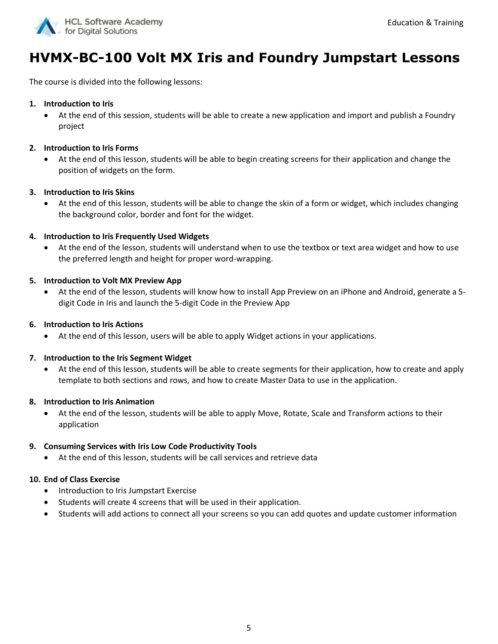

# **HVMX-BC-100 Volt MX Iris and Foundry Jumpstart Lessons**

The course is divided into the following lessons:

#### **1. Introduction to Iris**

• At the end of this session, students will be able to create a new application and import and publish a Foundry project

#### **2. Introduction to Iris Forms**

• At the end of this lesson, students will be able to begin creating screens for their application and change the position of widgets on the form.

#### **3. Introduction to Iris Skins**

• At the end of this lesson, students will be able to change the skin of a form or widget, which includes changing the background color, border and font for the widget.

#### **4. Introduction to Iris Frequently Used Widgets**

• At the end of the lesson, students will understand when to use the textbox or text area widget and how to use the preferred length and height for proper word-wrapping.

#### **5. Introduction to Volt MX Preview App**

• At the end of the lesson, students will know how to install App Preview on an iPhone and Android, generate a 5 digit Code in Iris and launch the 5-digit Code in the Preview App

#### **6. Introduction to Iris Actions**

• At the end of this lesson, users will be able to apply Widget actions in your applications.

#### **7. Introduction to the Iris Segment Widget**

• At the end of this lesson, students will be able to create segments for their application, how to create and apply template to both sections and rows, and how to create Master Data to use in the application.

#### **8. Introduction to Iris Animation**

• At the end of the lesson, students will be able to apply Move, Rotate, Scale and Transform actions to their application

#### **9. Consuming Services with Iris Low Code Productivity Tools**

• At the end of this lesson, students will be call services and retrieve data

#### **10. End of Class Exercise**

- Introduction to Iris Jumpstart Exercise
- Students will create 4 screens that will be used in their application.
- Students will add actions to connect all your screens so you can add quotes and update customer information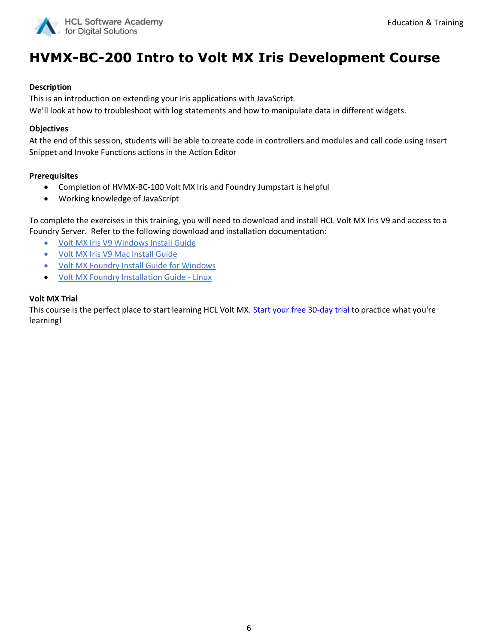

# **HVMX-BC-200 Intro to Volt MX Iris Development Course**

#### **Description**

This is an introduction on extending your Iris applications with JavaScript.

We'll look at how to troubleshoot with log statements and how to manipulate data in different widgets.

#### **Objectives**

At the end of this session, students will be able to create code in controllers and modules and call code using Insert Snippet and Invoke Functions actions in the Action Editor

#### **Prerequisites**

- Completion of HVMX-BC-100 Volt MX Iris and Foundry Jumpstart is helpful
- Working knowledge of JavaScript

To complete the exercises in this training, you will need to download and install HCL Volt MX Iris V9 and access to a Foundry Server. Refer to the following download and installation documentation:

- [Volt MX Iris V9 Windows Install Guide](https://opensource.hcltechsw.com/volt-mx-docs/docs/documentation/Iris/iris_starter_install_win/Content/Prerequisites.html)
- [Volt MX Iris V9 Mac Install Guide](https://opensource.hcltechsw.com/volt-mx-docs/docs/documentation/Iris/iris_starter_install_mac/Content/Prerequisites.html)
- [Volt MX Foundry Install Guide for Windows](https://opensource.hcltechsw.com/volt-mx-docs/docs/documentation/Foundry/voltmx_foundry_windows_install_guide/Content/Introduction.html)
- [Volt MX Foundry Installation Guide -](https://opensource.hcltechsw.com/volt-mx-docs/docs/documentation/Foundry/voltmx_foundry_linux_install_guide/Content/Introduction.html) Linux

#### **Volt MX Trial**

This course is the perfect place to start learning HCL Volt MX. [Start your free 30-day trial](https://manage.demo-hclvoltmx.com/registration) to practice what you're learning!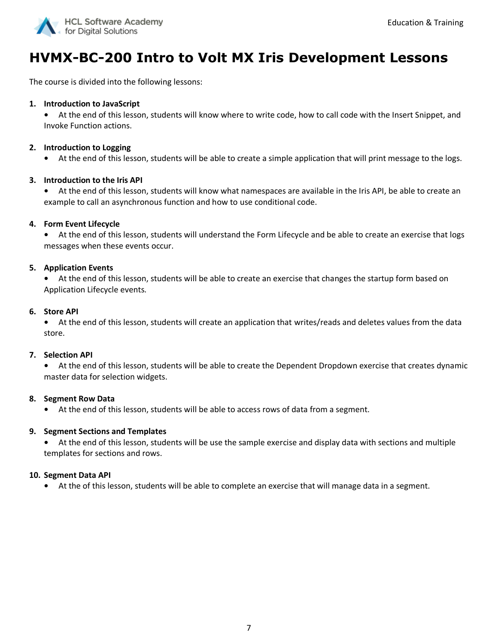

# **HVMX-BC-200 Intro to Volt MX Iris Development Lessons**

The course is divided into the following lessons:

#### **1. Introduction to JavaScript**

**•** At the end of this lesson, students will know where to write code, how to call code with the Insert Snippet, and Invoke Function actions.

#### **2. Introduction to Logging**

**•** At the end of this lesson, students will be able to create a simple application that will print message to the logs.

#### **3. Introduction to the Iris API**

**•** At the end of this lesson, students will know what namespaces are available in the Iris API, be able to create an example to call an asynchronous function and how to use conditional code.

#### **4. Form Event Lifecycle**

**•** At the end of this lesson, students will understand the Form Lifecycle and be able to create an exercise that logs messages when these events occur.

#### **5. Application Events**

**•** At the end of this lesson, students will be able to create an exercise that changes the startup form based on Application Lifecycle events.

#### **6. Store API**

**•** At the end of this lesson, students will create an application that writes/reads and deletes values from the data store.

#### **7. Selection API**

**•** At the end of this lesson, students will be able to create the Dependent Dropdown exercise that creates dynamic master data for selection widgets.

#### **8. Segment Row Data**

**•** At the end of this lesson, students will be able to access rows of data from a segment.

#### **9. Segment Sections and Templates**

**•** At the end of this lesson, students will be use the sample exercise and display data with sections and multiple templates for sections and rows.

#### **10. Segment Data API**

**•** At the of this lesson, students will be able to complete an exercise that will manage data in a segment.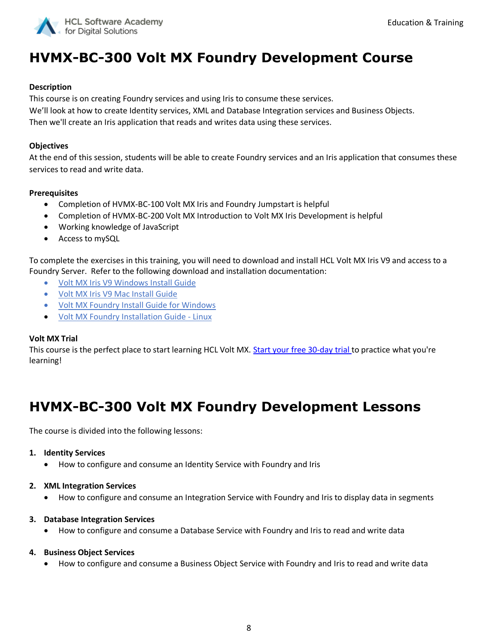

# **HVMX-BC-300 Volt MX Foundry Development Course**

#### **Description**

This course is on creating Foundry services and using Iris to consume these services. We'll look at how to create Identity services, XML and Database Integration services and Business Objects. Then we'll create an Iris application that reads and writes data using these services.

#### **Objectives**

At the end of this session, students will be able to create Foundry services and an Iris application that consumes these services to read and write data.

#### **Prerequisites**

- Completion of HVMX-BC-100 Volt MX Iris and Foundry Jumpstart is helpful
- Completion of HVMX-BC-200 Volt MX Introduction to Volt MX Iris Development is helpful
- Working knowledge of JavaScript
- Access to mySQL

To complete the exercises in this training, you will need to download and install HCL Volt MX Iris V9 and access to a Foundry Server. Refer to the following download and installation documentation:

- [Volt MX Iris V9 Windows Install Guide](https://opensource.hcltechsw.com/volt-mx-docs/docs/documentation/Iris/iris_starter_install_win/Content/Prerequisites.html)
- [Volt MX Iris V9 Mac Install Guide](https://opensource.hcltechsw.com/volt-mx-docs/docs/documentation/Iris/iris_starter_install_mac/Content/Prerequisites.html)
- [Volt MX Foundry Install Guide for Windows](https://opensource.hcltechsw.com/volt-mx-docs/docs/documentation/Foundry/voltmx_foundry_windows_install_guide/Content/Introduction.html)
- [Volt MX Foundry Installation Guide -](https://opensource.hcltechsw.com/volt-mx-docs/docs/documentation/Foundry/voltmx_foundry_linux_install_guide/Content/Introduction.html) Linux

#### **Volt MX Trial**

This course is the perfect place to start learning HCL Volt MX. [Start your free 30-day trial](https://manage.demo-hclvoltmx.com/registration) to practice what you're learning!

# **HVMX-BC-300 Volt MX Foundry Development Lessons**

The course is divided into the following lessons:

#### **1. Identity Services**

- How to configure and consume an Identity Service with Foundry and Iris
- **2. XML Integration Services**
	- How to configure and consume an Integration Service with Foundry and Iris to display data in segments
- **3. Database Integration Services**
	- How to configure and consume a Database Service with Foundry and Iris to read and write data
- **4. Business Object Services**
	- How to configure and consume a Business Object Service with Foundry and Iris to read and write data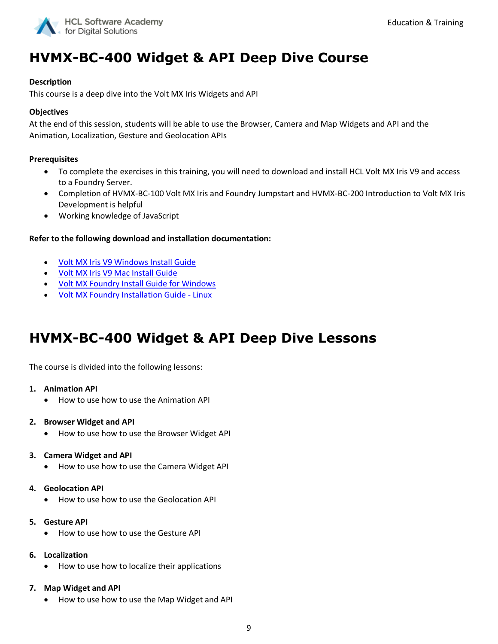

### **HVMX-BC-400 Widget & API Deep Dive Course**

#### **Description**

This course is a deep dive into the Volt MX Iris Widgets and API

#### **Objectives**

At the end of this session, students will be able to use the Browser, Camera and Map Widgets and API and the Animation, Localization, Gesture and Geolocation APIs

#### **Prerequisites**

- To complete the exercises in this training, you will need to download and install HCL Volt MX Iris V9 and access to a Foundry Server.
- Completion of HVMX-BC-100 Volt MX Iris and Foundry Jumpstart and HVMX-BC-200 Introduction to Volt MX Iris Development is helpful
- Working knowledge of JavaScript

#### **Refer to the following download and installation documentation:**

- [Volt MX Iris V9 Windows Install Guide](https://opensource.hcltechsw.com/volt-mx-docs/docs/documentation/Iris/iris_starter_install_win/Content/Prerequisites.html)
- [Volt MX Iris V9 Mac Install Guide](https://opensource.hcltechsw.com/volt-mx-docs/docs/documentation/Iris/iris_starter_install_mac/Content/Prerequisites.html)
- [Volt MX Foundry Install Guide for Windows](https://opensource.hcltechsw.com/volt-mx-docs/docs/documentation/Foundry/voltmx_foundry_windows_install_guide/Content/Introduction.html)
- [Volt MX Foundry Installation Guide -](https://opensource.hcltechsw.com/volt-mx-docs/docs/documentation/Foundry/voltmx_foundry_linux_install_guide/Content/Introduction.html) Linux

### **HVMX-BC-400 Widget & API Deep Dive Lessons**

The course is divided into the following lessons:

#### **1. Animation API**

• How to use how to use the Animation API

#### **2. Browser Widget and API**

• How to use how to use the Browser Widget API

#### **3. Camera Widget and API**

• How to use how to use the Camera Widget API

#### **4. Geolocation API**

• How to use how to use the Geolocation API

#### **5. Gesture API**

- How to use how to use the Gesture API
- **6. Localization**
	- How to use how to localize their applications

#### **7. Map Widget and API**

• How to use how to use the Map Widget and API